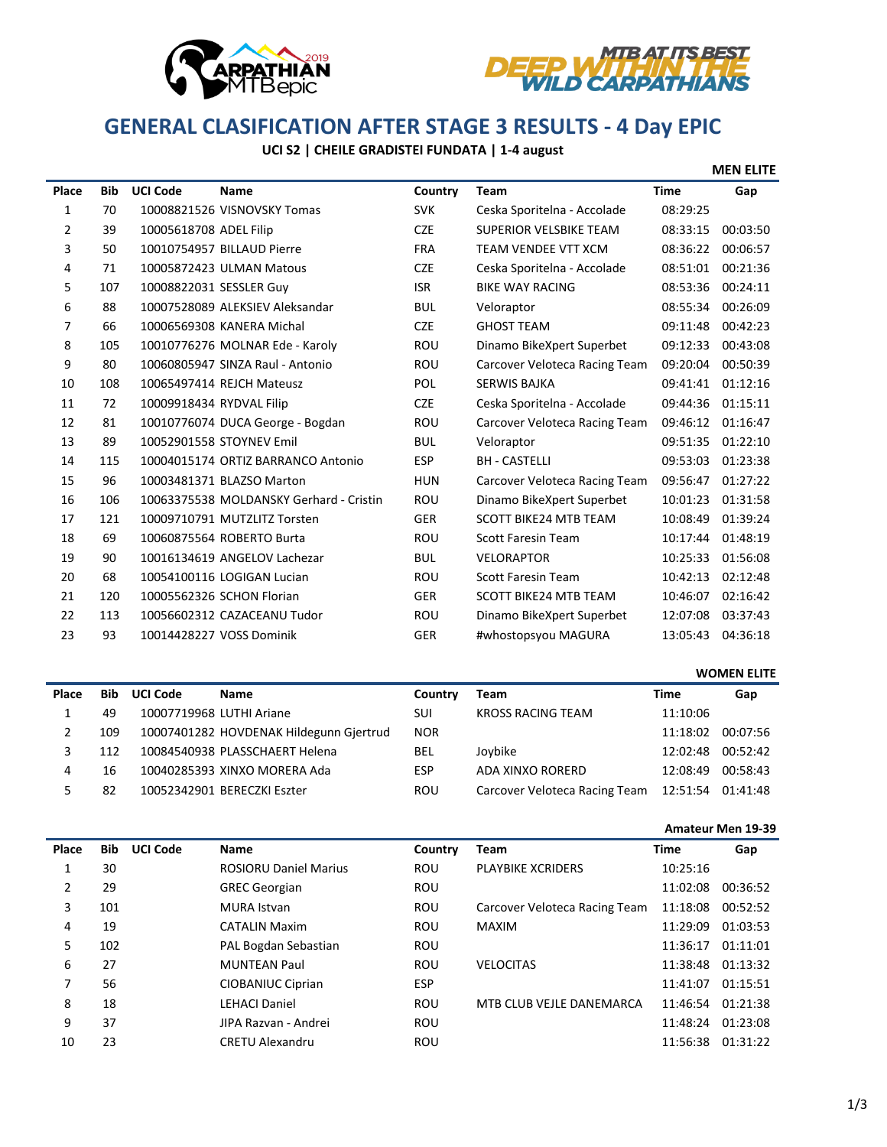



# **GENERAL CLASIFICATION AFTER STAGE 3 RESULTS - 4 Day EPIC**<br>GENERAL CLASIFICATION AFTER STAGE 3 RESULTS - 4 Day EPIC

# **UCI S2 | CHEILE GRADISTEI FUNDATA | 1-4 august**

|                |            |                          |                                         |            |                               |             | <b>MEN ELITE</b> |
|----------------|------------|--------------------------|-----------------------------------------|------------|-------------------------------|-------------|------------------|
| Place          | <b>Bib</b> | <b>UCI Code</b>          | <b>Name</b>                             | Country    | <b>Team</b>                   | <b>Time</b> | Gap              |
| 1              | 70         |                          | 10008821526 VISNOVSKY Tomas             | <b>SVK</b> | Ceska Sporitelna - Accolade   | 08:29:25    |                  |
| $\overline{2}$ | 39         | 10005618708 ADEL Filip   |                                         | <b>CZE</b> | <b>SUPERIOR VELSBIKE TEAM</b> | 08:33:15    | 00:03:50         |
| 3              | 50         |                          | 10010754957 BILLAUD Pierre              | <b>FRA</b> | <b>TEAM VENDEE VTT XCM</b>    | 08:36:22    | 00:06:57         |
| 4              | 71         |                          | 10005872423 ULMAN Matous                | <b>CZE</b> | Ceska Sporitelna - Accolade   | 08:51:01    | 00:21:36         |
| 5              | 107        | 10008822031 SESSLER Guy  |                                         | <b>ISR</b> | <b>BIKE WAY RACING</b>        | 08:53:36    | 00:24:11         |
| 6              | 88         |                          | 10007528089 ALEKSIEV Aleksandar         | <b>BUL</b> | Veloraptor                    | 08:55:34    | 00:26:09         |
| 7              | 66         |                          | 10006569308 KANERA Michal               | <b>CZE</b> | <b>GHOST TEAM</b>             | 09:11:48    | 00:42:23         |
| 8              | 105        |                          | 10010776276 MOLNAR Ede - Karoly         | <b>ROU</b> | Dinamo BikeXpert Superbet     | 09:12:33    | 00:43:08         |
| 9              | 80         |                          | 10060805947 SINZA Raul - Antonio        | <b>ROU</b> | Carcover Veloteca Racing Team | 09:20:04    | 00:50:39         |
| 10             | 108        |                          | 10065497414 REJCH Mateusz               | <b>POL</b> | <b>SERWIS BAJKA</b>           | 09:41:41    | 01:12:16         |
| 11             | 72         | 10009918434 RYDVAL Filip |                                         | <b>CZE</b> | Ceska Sporitelna - Accolade   | 09:44:36    | 01:15:11         |
| 12             | 81         |                          | 10010776074 DUCA George - Bogdan        | <b>ROU</b> | Carcover Veloteca Racing Team | 09:46:12    | 01:16:47         |
| 13             | 89         |                          | 10052901558 STOYNEV Emil                | <b>BUL</b> | Veloraptor                    | 09:51:35    | 01:22:10         |
| 14             | 115        |                          | 10004015174 ORTIZ BARRANCO Antonio      | <b>ESP</b> | <b>BH - CASTELLI</b>          | 09:53:03    | 01:23:38         |
| 15             | 96         |                          | 10003481371 BLAZSO Marton               | <b>HUN</b> | Carcover Veloteca Racing Team | 09:56:47    | 01:27:22         |
| 16             | 106        |                          | 10063375538 MOLDANSKY Gerhard - Cristin | <b>ROU</b> | Dinamo BikeXpert Superbet     | 10:01:23    | 01:31:58         |
| 17             | 121        |                          | 10009710791 MUTZLITZ Torsten            | <b>GER</b> | <b>SCOTT BIKE24 MTB TEAM</b>  | 10:08:49    | 01:39:24         |
| 18             | 69         |                          | 10060875564 ROBERTO Burta               | <b>ROU</b> | <b>Scott Faresin Team</b>     | 10:17:44    | 01:48:19         |
| 19             | 90         |                          | 10016134619 ANGELOV Lachezar            | <b>BUL</b> | <b>VELORAPTOR</b>             | 10:25:33    | 01:56:08         |
| 20             | 68         |                          | 10054100116 LOGIGAN Lucian              | <b>ROU</b> | <b>Scott Faresin Team</b>     | 10:42:13    | 02:12:48         |
| 21             | 120        |                          | 10005562326 SCHON Florian               | <b>GER</b> | <b>SCOTT BIKE24 MTB TEAM</b>  | 10:46:07    | 02:16:42         |
| 22             | 113        |                          | 10056602312 CAZACEANU Tudor             | <b>ROU</b> | Dinamo BikeXpert Superbet     | 12:07:08    | 03:37:43         |
| 23             | 93         |                          | 10014428227 VOSS Dominik                | <b>GER</b> | #whostopsyou MAGURA           | 13:05:43    | 04:36:18         |

|       |            |                 |                                         |            |                               |          | <b>WOMEN ELITE</b> |
|-------|------------|-----------------|-----------------------------------------|------------|-------------------------------|----------|--------------------|
| Place | <b>Bib</b> | <b>UCI Code</b> | <b>Name</b>                             | Country    | Team                          | Time     | Gap                |
|       | 49         |                 | 10007719968 LUTHI Ariane                | SUI        | <b>KROSS RACING TEAM</b>      | 11:10:06 |                    |
|       | 109        |                 | 10007401282 HOVDENAK Hildegunn Gjertrud | <b>NOR</b> |                               | 11:18:02 | 00:07:56           |
|       | 112        |                 | 10084540938 PLASSCHAERT Helena          | <b>BEL</b> | Joybike                       | 12:02:48 | 00:52:42           |
| 4     | 16         |                 | 10040285393 XINXO MORERA Ada            | <b>ESP</b> | ADA XINXO RORERD              | 12:08:49 | 00:58:43           |
|       | 82         |                 | 10052342901 BERECZKI Eszter             | ROU        | Carcover Veloteca Racing Team | 12:51:54 | 01:41:48           |

### **Amateur Men 19-39**

| Place | <b>Bib</b> | <b>UCI Code</b> | Name                         | Country    | Team                          | Time     | Gap      |
|-------|------------|-----------------|------------------------------|------------|-------------------------------|----------|----------|
|       | 30         |                 | <b>ROSIORU Daniel Marius</b> | <b>ROU</b> | <b>PLAYBIKE XCRIDERS</b>      | 10:25:16 |          |
| 2     | 29         |                 | <b>GREC Georgian</b>         | <b>ROU</b> |                               | 11:02:08 | 00:36:52 |
| 3     | 101        |                 | MURA Istvan                  | <b>ROU</b> | Carcover Veloteca Racing Team | 11:18:08 | 00:52:52 |
| 4     | 19         |                 | <b>CATALIN Maxim</b>         | <b>ROU</b> | <b>MAXIM</b>                  | 11:29:09 | 01:03:53 |
| 5     | 102        |                 | PAL Bogdan Sebastian         | <b>ROU</b> |                               | 11:36:17 | 01:11:01 |
| 6     | 27         |                 | <b>MUNTEAN Paul</b>          | <b>ROU</b> | <b>VELOCITAS</b>              | 11:38:48 | 01:13:32 |
| 7     | 56         |                 | CIOBANIUC Ciprian            | <b>ESP</b> |                               | 11:41:07 | 01:15:51 |
| 8     | 18         |                 | <b>LEHACI Daniel</b>         | <b>ROU</b> | MTB CLUB VEJLE DANEMARCA      | 11:46:54 | 01:21:38 |
| 9     | 37         |                 | JIPA Razvan - Andrei         | <b>ROU</b> |                               | 11:48:24 | 01:23:08 |
| 10    | 23         |                 | <b>CRETU Alexandru</b>       | <b>ROU</b> |                               | 11:56:38 | 01:31:22 |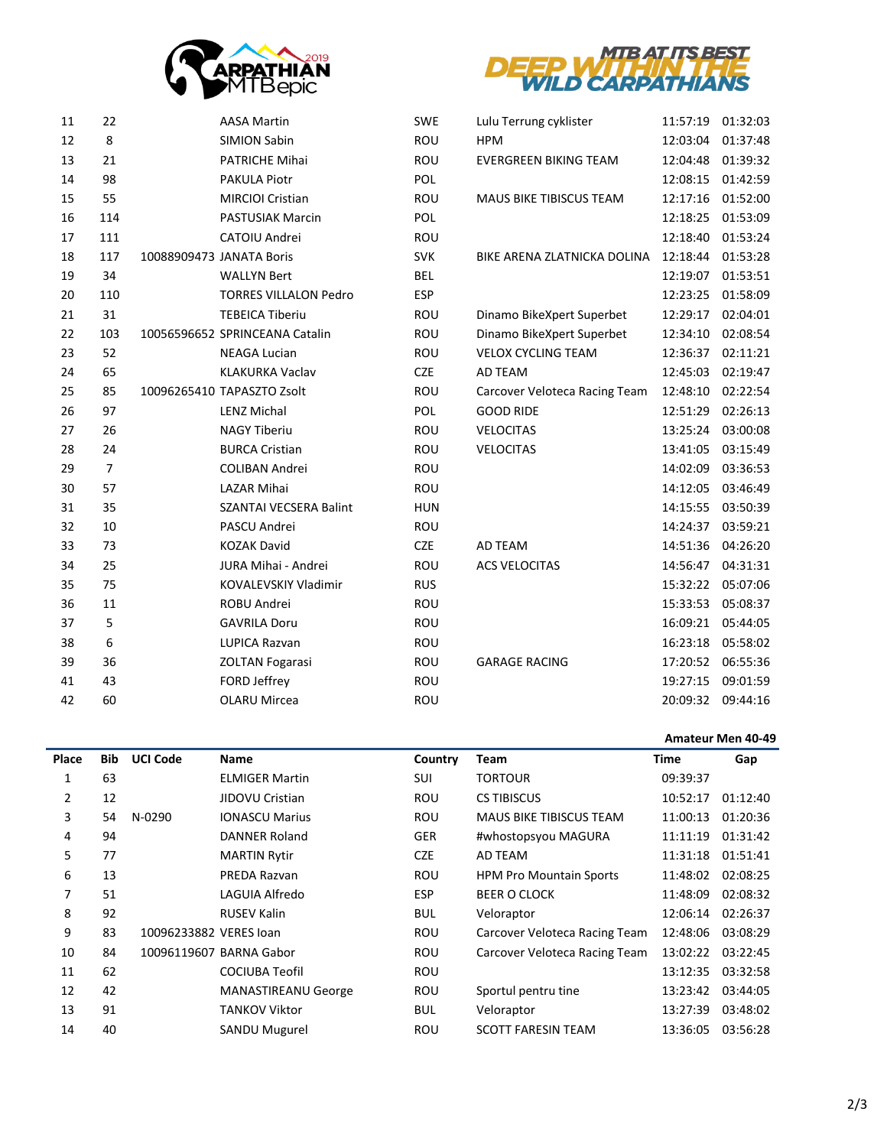



| 11 | 22             |                          | <b>AASA Martin</b>             | <b>SWE</b> | Lulu Terrung cyklister        | 11:57:19 | 01:32:03 |
|----|----------------|--------------------------|--------------------------------|------------|-------------------------------|----------|----------|
| 12 | 8              |                          | <b>SIMION Sabin</b>            | ROU        | <b>HPM</b>                    | 12:03:04 | 01:37:48 |
| 13 | 21             |                          | <b>PATRICHE Mihai</b>          | <b>ROU</b> | <b>EVERGREEN BIKING TEAM</b>  | 12:04:48 | 01:39:32 |
| 14 | 98             |                          | PAKULA Piotr                   | POL        |                               | 12:08:15 | 01:42:59 |
| 15 | 55             |                          | <b>MIRCIOI Cristian</b>        | ROU        | MAUS BIKE TIBISCUS TEAM       | 12:17:16 | 01:52:00 |
| 16 | 114            |                          | PASTUSIAK Marcin               | POL        |                               | 12:18:25 | 01:53:09 |
| 17 | 111            |                          | CATOIU Andrei                  | <b>ROU</b> |                               | 12:18:40 | 01:53:24 |
| 18 | 117            | 10088909473 JANATA Boris |                                | <b>SVK</b> | BIKE ARENA ZLATNICKA DOLINA   | 12:18:44 | 01:53:28 |
| 19 | 34             |                          | <b>WALLYN Bert</b>             | <b>BEL</b> |                               | 12:19:07 | 01:53:51 |
| 20 | 110            |                          | <b>TORRES VILLALON Pedro</b>   | ESP        |                               | 12:23:25 | 01:58:09 |
| 21 | 31             |                          | <b>TEBEICA Tiberiu</b>         | ROU        | Dinamo BikeXpert Superbet     | 12:29:17 | 02:04:01 |
| 22 | 103            |                          | 10056596652 SPRINCEANA Catalin | <b>ROU</b> | Dinamo BikeXpert Superbet     | 12:34:10 | 02:08:54 |
| 23 | 52             |                          | <b>NEAGA Lucian</b>            | ROU        | <b>VELOX CYCLING TEAM</b>     | 12:36:37 | 02:11:21 |
| 24 | 65             |                          | <b>KLAKURKA Vaclav</b>         | <b>CZE</b> | AD TEAM                       | 12:45:03 | 02:19:47 |
| 25 | 85             |                          | 10096265410 TAPASZTO Zsolt     | ROU        | Carcover Veloteca Racing Team | 12:48:10 | 02:22:54 |
| 26 | 97             |                          | <b>LENZ Michal</b>             | POL        | <b>GOOD RIDE</b>              | 12:51:29 | 02:26:13 |
| 27 | 26             |                          | <b>NAGY Tiberiu</b>            | ROU        | <b>VELOCITAS</b>              | 13:25:24 | 03:00:08 |
| 28 | 24             |                          | <b>BURCA Cristian</b>          | ROU        | <b>VELOCITAS</b>              | 13:41:05 | 03:15:49 |
| 29 | $\overline{7}$ |                          | <b>COLIBAN Andrei</b>          | ROU        |                               | 14:02:09 | 03:36:53 |
| 30 | 57             |                          | <b>LAZAR Mihai</b>             | <b>ROU</b> |                               | 14:12:05 | 03:46:49 |
| 31 | 35             |                          | SZANTAI VECSERA Balint         | <b>HUN</b> |                               | 14:15:55 | 03:50:39 |
| 32 | 10             |                          | PASCU Andrei                   | ROU        |                               | 14:24:37 | 03:59:21 |
| 33 | 73             |                          | <b>KOZAK David</b>             | <b>CZE</b> | AD TEAM                       | 14:51:36 | 04:26:20 |
| 34 | 25             |                          | JURA Mihai - Andrei            | ROU        | <b>ACS VELOCITAS</b>          | 14:56:47 | 04:31:31 |
| 35 | 75             |                          | <b>KOVALEVSKIY Vladimir</b>    | <b>RUS</b> |                               | 15:32:22 | 05:07:06 |
| 36 | 11             |                          | ROBU Andrei                    | ROU        |                               | 15:33:53 | 05:08:37 |
| 37 | 5              |                          | <b>GAVRILA Doru</b>            | ROU        |                               | 16:09:21 | 05:44:05 |
| 38 | 6              |                          | LUPICA Razvan                  | ROU        |                               | 16:23:18 | 05:58:02 |
| 39 | 36             |                          | <b>ZOLTAN Fogarasi</b>         | ROU        | <b>GARAGE RACING</b>          | 17:20:52 | 06:55:36 |
| 41 | 43             |                          | FORD Jeffrey                   | <b>ROU</b> |                               | 19:27:15 | 09:01:59 |
| 42 | 60             |                          | <b>OLARU Mircea</b>            | ROU        |                               | 20:09:32 | 09:44:16 |
|    |                |                          |                                |            |                               |          |          |

### **Amateur Men 40-49**

| Place | Bib | <b>UCI Code</b>        | Name                       | Country    | Team                           | <b>Time</b> | Gap      |
|-------|-----|------------------------|----------------------------|------------|--------------------------------|-------------|----------|
| 1     | 63  |                        | <b>ELMIGER Martin</b>      | <b>SUI</b> | <b>TORTOUR</b>                 | 09:39:37    |          |
| 2     | 12  |                        | JIDOVU Cristian            | <b>ROU</b> | <b>CS TIBISCUS</b>             | 10:52:17    | 01:12:40 |
| 3     | 54  | N-0290                 | <b>IONASCU Marius</b>      | <b>ROU</b> | <b>MAUS BIKE TIBISCUS TEAM</b> | 11:00:13    | 01:20:36 |
| 4     | 94  |                        | DANNER Roland              | <b>GER</b> | #whostopsyou MAGURA            | 11:11:19    | 01:31:42 |
| 5     | 77  |                        | <b>MARTIN Rytir</b>        | <b>CZE</b> | AD TEAM                        | 11:31:18    | 01:51:41 |
| 6     | 13  |                        | PREDA Razvan               | ROU        | <b>HPM Pro Mountain Sports</b> | 11:48:02    | 02:08:25 |
| 7     | 51  |                        | LAGUIA Alfredo             | <b>ESP</b> | <b>BEER O CLOCK</b>            | 11:48:09    | 02:08:32 |
| 8     | 92  |                        | <b>RUSEV Kalin</b>         | <b>BUL</b> | Veloraptor                     | 12:06:14    | 02:26:37 |
| 9     | 83  | 10096233882 VERES Joan |                            | ROU        | Carcover Veloteca Racing Team  | 12:48:06    | 03:08:29 |
| 10    | 84  |                        | 10096119607 BARNA Gabor    | ROU        | Carcover Veloteca Racing Team  | 13:02:22    | 03:22:45 |
| 11    | 62  |                        | <b>COCIUBA Teofil</b>      | <b>ROU</b> |                                | 13:12:35    | 03:32:58 |
| 12    | 42  |                        | <b>MANASTIREANU George</b> | ROU        | Sportul pentru tine            | 13:23:42    | 03:44:05 |
| 13    | 91  |                        | TANKOV Viktor              | <b>BUL</b> | Veloraptor                     | 13:27:39    | 03:48:02 |
| 14    | 40  |                        | <b>SANDU Mugurel</b>       | ROU        | <b>SCOTT FARESIN TEAM</b>      | 13:36:05    | 03:56:28 |
|       |     |                        |                            |            |                                |             |          |